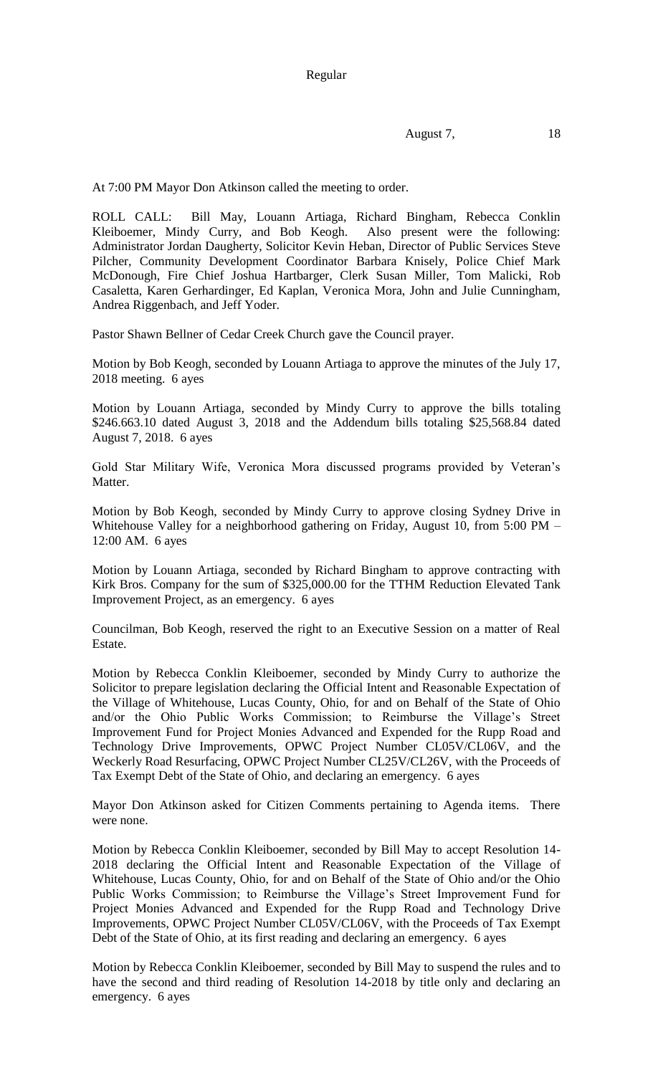Regular

August 7, 18

At 7:00 PM Mayor Don Atkinson called the meeting to order.

ROLL CALL: Bill May, Louann Artiaga, Richard Bingham, Rebecca Conklin Kleiboemer, Mindy Curry, and Bob Keogh. Also present were the following: Administrator Jordan Daugherty, Solicitor Kevin Heban, Director of Public Services Steve Pilcher, Community Development Coordinator Barbara Knisely, Police Chief Mark McDonough, Fire Chief Joshua Hartbarger, Clerk Susan Miller, Tom Malicki, Rob Casaletta, Karen Gerhardinger, Ed Kaplan, Veronica Mora, John and Julie Cunningham, Andrea Riggenbach, and Jeff Yoder.

Pastor Shawn Bellner of Cedar Creek Church gave the Council prayer.

Motion by Bob Keogh, seconded by Louann Artiaga to approve the minutes of the July 17, 2018 meeting. 6 ayes

Motion by Louann Artiaga, seconded by Mindy Curry to approve the bills totaling \$246.663.10 dated August 3, 2018 and the Addendum bills totaling \$25,568.84 dated August 7, 2018. 6 ayes

Gold Star Military Wife, Veronica Mora discussed programs provided by Veteran's Matter.

Motion by Bob Keogh, seconded by Mindy Curry to approve closing Sydney Drive in Whitehouse Valley for a neighborhood gathering on Friday, August 10, from 5:00 PM – 12:00 AM. 6 ayes

Motion by Louann Artiaga, seconded by Richard Bingham to approve contracting with Kirk Bros. Company for the sum of \$325,000.00 for the TTHM Reduction Elevated Tank Improvement Project, as an emergency. 6 ayes

Councilman, Bob Keogh, reserved the right to an Executive Session on a matter of Real Estate.

Motion by Rebecca Conklin Kleiboemer, seconded by Mindy Curry to authorize the Solicitor to prepare legislation declaring the Official Intent and Reasonable Expectation of the Village of Whitehouse, Lucas County, Ohio, for and on Behalf of the State of Ohio and/or the Ohio Public Works Commission; to Reimburse the Village's Street Improvement Fund for Project Monies Advanced and Expended for the Rupp Road and Technology Drive Improvements, OPWC Project Number CL05V/CL06V, and the Weckerly Road Resurfacing, OPWC Project Number CL25V/CL26V, with the Proceeds of Tax Exempt Debt of the State of Ohio, and declaring an emergency. 6 ayes

Mayor Don Atkinson asked for Citizen Comments pertaining to Agenda items. There were none.

Motion by Rebecca Conklin Kleiboemer, seconded by Bill May to accept Resolution 14- 2018 declaring the Official Intent and Reasonable Expectation of the Village of Whitehouse, Lucas County, Ohio, for and on Behalf of the State of Ohio and/or the Ohio Public Works Commission; to Reimburse the Village's Street Improvement Fund for Project Monies Advanced and Expended for the Rupp Road and Technology Drive Improvements, OPWC Project Number CL05V/CL06V, with the Proceeds of Tax Exempt Debt of the State of Ohio, at its first reading and declaring an emergency. 6 ayes

Motion by Rebecca Conklin Kleiboemer, seconded by Bill May to suspend the rules and to have the second and third reading of Resolution 14-2018 by title only and declaring an emergency. 6 ayes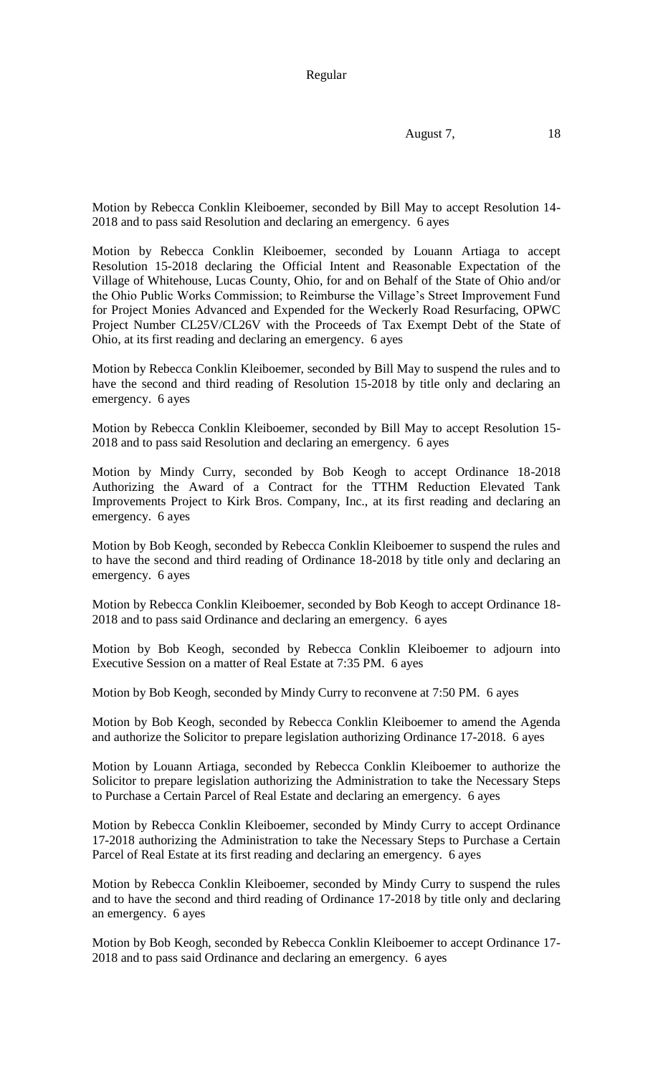Regular

August 7, 18

Motion by Rebecca Conklin Kleiboemer, seconded by Bill May to accept Resolution 14- 2018 and to pass said Resolution and declaring an emergency. 6 ayes

Motion by Rebecca Conklin Kleiboemer, seconded by Louann Artiaga to accept Resolution 15-2018 declaring the Official Intent and Reasonable Expectation of the Village of Whitehouse, Lucas County, Ohio, for and on Behalf of the State of Ohio and/or the Ohio Public Works Commission; to Reimburse the Village's Street Improvement Fund for Project Monies Advanced and Expended for the Weckerly Road Resurfacing, OPWC Project Number CL25V/CL26V with the Proceeds of Tax Exempt Debt of the State of Ohio, at its first reading and declaring an emergency. 6 ayes

Motion by Rebecca Conklin Kleiboemer, seconded by Bill May to suspend the rules and to have the second and third reading of Resolution 15-2018 by title only and declaring an emergency. 6 ayes

Motion by Rebecca Conklin Kleiboemer, seconded by Bill May to accept Resolution 15- 2018 and to pass said Resolution and declaring an emergency. 6 ayes

Motion by Mindy Curry, seconded by Bob Keogh to accept Ordinance 18-2018 Authorizing the Award of a Contract for the TTHM Reduction Elevated Tank Improvements Project to Kirk Bros. Company, Inc., at its first reading and declaring an emergency. 6 ayes

Motion by Bob Keogh, seconded by Rebecca Conklin Kleiboemer to suspend the rules and to have the second and third reading of Ordinance 18-2018 by title only and declaring an emergency. 6 ayes

Motion by Rebecca Conklin Kleiboemer, seconded by Bob Keogh to accept Ordinance 18- 2018 and to pass said Ordinance and declaring an emergency. 6 ayes

Motion by Bob Keogh, seconded by Rebecca Conklin Kleiboemer to adjourn into Executive Session on a matter of Real Estate at 7:35 PM. 6 ayes

Motion by Bob Keogh, seconded by Mindy Curry to reconvene at 7:50 PM. 6 ayes

Motion by Bob Keogh, seconded by Rebecca Conklin Kleiboemer to amend the Agenda and authorize the Solicitor to prepare legislation authorizing Ordinance 17-2018. 6 ayes

Motion by Louann Artiaga, seconded by Rebecca Conklin Kleiboemer to authorize the Solicitor to prepare legislation authorizing the Administration to take the Necessary Steps to Purchase a Certain Parcel of Real Estate and declaring an emergency. 6 ayes

Motion by Rebecca Conklin Kleiboemer, seconded by Mindy Curry to accept Ordinance 17-2018 authorizing the Administration to take the Necessary Steps to Purchase a Certain Parcel of Real Estate at its first reading and declaring an emergency. 6 ayes

Motion by Rebecca Conklin Kleiboemer, seconded by Mindy Curry to suspend the rules and to have the second and third reading of Ordinance 17-2018 by title only and declaring an emergency. 6 ayes

Motion by Bob Keogh, seconded by Rebecca Conklin Kleiboemer to accept Ordinance 17- 2018 and to pass said Ordinance and declaring an emergency. 6 ayes